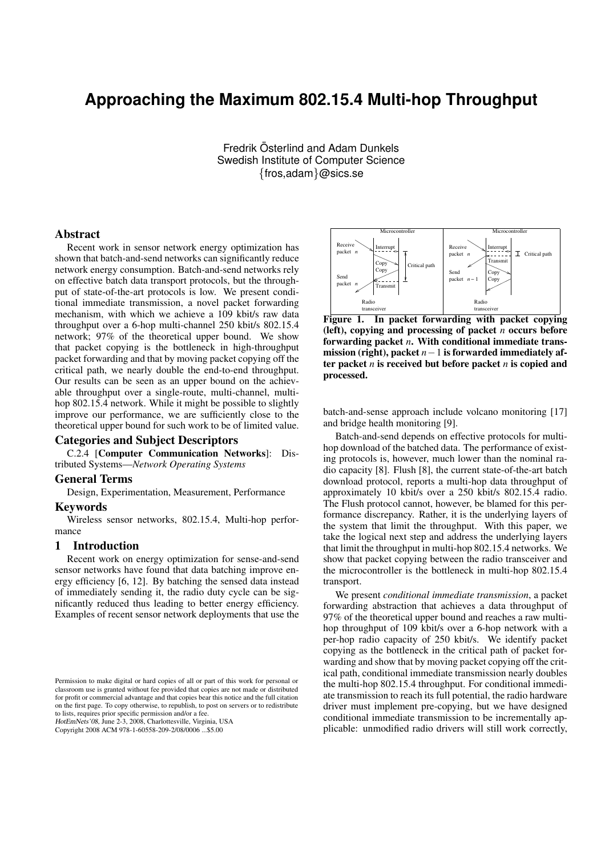# **Approaching the Maximum 802.15.4 Multi-hop Throughput**

Fredrik Österlind and Adam Dunkels Swedish Institute of Computer Science {fros,adam}@sics.se

## Abstract

Recent work in sensor network energy optimization has shown that batch-and-send networks can significantly reduce network energy consumption. Batch-and-send networks rely on effective batch data transport protocols, but the throughput of state-of-the-art protocols is low. We present conditional immediate transmission, a novel packet forwarding mechanism, with which we achieve a 109 kbit/s raw data throughput over a 6-hop multi-channel 250 kbit/s 802.15.4 network; 97% of the theoretical upper bound. We show that packet copying is the bottleneck in high-throughput packet forwarding and that by moving packet copying off the critical path, we nearly double the end-to-end throughput. Our results can be seen as an upper bound on the achievable throughput over a single-route, multi-channel, multihop 802.15.4 network. While it might be possible to slightly improve our performance, we are sufficiently close to the theoretical upper bound for such work to be of limited value.

# Categories and Subject Descriptors

C.2.4 [Computer Communication Networks]: Distributed Systems—*Network Operating Systems*

## General Terms

Design, Experimentation, Measurement, Performance

#### Keywords

Wireless sensor networks, 802.15.4, Multi-hop performance

#### 1 Introduction

Recent work on energy optimization for sense-and-send sensor networks have found that data batching improve energy efficiency [6, 12]. By batching the sensed data instead of immediately sending it, the radio duty cycle can be significantly reduced thus leading to better energy efficiency. Examples of recent sensor network deployments that use the

HotEmNets'08, June 2-3, 2008, Charlottesville, Virginia, USA

Copyright 2008 ACM 978-1-60558-209-2/08/0006 ...\$5.00



Figure 1. In packet forwarding with packet copying (left), copying and processing of packet *n* occurs before forwarding packet *n*. With conditional immediate transmission (right), packet *n*−1 is forwarded immediately after packet *n* is received but before packet *n* is copied and processed.

batch-and-sense approach include volcano monitoring [17] and bridge health monitoring [9].

Batch-and-send depends on effective protocols for multihop download of the batched data. The performance of existing protocols is, however, much lower than the nominal radio capacity [8]. Flush [8], the current state-of-the-art batch download protocol, reports a multi-hop data throughput of approximately 10 kbit/s over a 250 kbit/s 802.15.4 radio. The Flush protocol cannot, however, be blamed for this performance discrepancy. Rather, it is the underlying layers of the system that limit the throughput. With this paper, we take the logical next step and address the underlying layers that limit the throughput in multi-hop 802.15.4 networks. We show that packet copying between the radio transceiver and the microcontroller is the bottleneck in multi-hop 802.15.4 transport.

We present *conditional immediate transmission*, a packet forwarding abstraction that achieves a data throughput of 97% of the theoretical upper bound and reaches a raw multihop throughput of 109 kbit/s over a 6-hop network with a per-hop radio capacity of 250 kbit/s. We identify packet copying as the bottleneck in the critical path of packet forwarding and show that by moving packet copying off the critical path, conditional immediate transmission nearly doubles the multi-hop 802.15.4 throughput. For conditional immediate transmission to reach its full potential, the radio hardware driver must implement pre-copying, but we have designed conditional immediate transmission to be incrementally applicable: unmodified radio drivers will still work correctly,

Permission to make digital or hard copies of all or part of this work for personal or classroom use is granted without fee provided that copies are not made or distributed for profit or commercial advantage and that copies bear this notice and the full citation on the first page. To copy otherwise, to republish, to post on servers or to redistribute to lists, requires prior specific permission and/or a fee.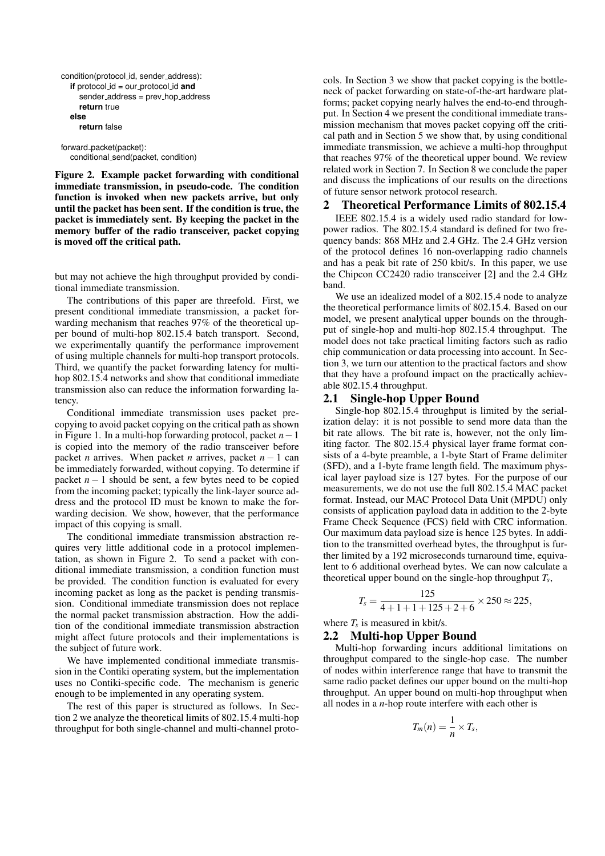```
condition(protocol id, sender address):
if protocol id = our protocol id and
   sender_address = prev_hop_address
   return true
else
  return false
```
forward packet(packet): conditional send(packet, condition)

Figure 2. Example packet forwarding with conditional immediate transmission, in pseudo-code. The condition function is invoked when new packets arrive, but only until the packet has been sent. If the condition is true, the packet is immediately sent. By keeping the packet in the memory buffer of the radio transceiver, packet copying is moved off the critical path.

but may not achieve the high throughput provided by conditional immediate transmission.

The contributions of this paper are threefold. First, we present conditional immediate transmission, a packet forwarding mechanism that reaches 97% of the theoretical upper bound of multi-hop 802.15.4 batch transport. Second, we experimentally quantify the performance improvement of using multiple channels for multi-hop transport protocols. Third, we quantify the packet forwarding latency for multihop 802.15.4 networks and show that conditional immediate transmission also can reduce the information forwarding latency.

Conditional immediate transmission uses packet precopying to avoid packet copying on the critical path as shown in Figure 1. In a multi-hop forwarding protocol, packet *n*−1 is copied into the memory of the radio transceiver before packet *n* arrives. When packet *n* arrives, packet *n* − 1 can be immediately forwarded, without copying. To determine if packet  $n-1$  should be sent, a few bytes need to be copied from the incoming packet; typically the link-layer source address and the protocol ID must be known to make the forwarding decision. We show, however, that the performance impact of this copying is small.

The conditional immediate transmission abstraction requires very little additional code in a protocol implementation, as shown in Figure 2. To send a packet with conditional immediate transmission, a condition function must be provided. The condition function is evaluated for every incoming packet as long as the packet is pending transmission. Conditional immediate transmission does not replace the normal packet transmission abstraction. How the addition of the conditional immediate transmission abstraction might affect future protocols and their implementations is the subject of future work.

We have implemented conditional immediate transmission in the Contiki operating system, but the implementation uses no Contiki-specific code. The mechanism is generic enough to be implemented in any operating system.

The rest of this paper is structured as follows. In Section 2 we analyze the theoretical limits of 802.15.4 multi-hop throughput for both single-channel and multi-channel protocols. In Section 3 we show that packet copying is the bottleneck of packet forwarding on state-of-the-art hardware platforms; packet copying nearly halves the end-to-end throughput. In Section 4 we present the conditional immediate transmission mechanism that moves packet copying off the critical path and in Section 5 we show that, by using conditional immediate transmission, we achieve a multi-hop throughput that reaches 97% of the theoretical upper bound. We review related work in Section 7. In Section 8 we conclude the paper and discuss the implications of our results on the directions of future sensor network protocol research.

## 2 Theoretical Performance Limits of 802.15.4

IEEE 802.15.4 is a widely used radio standard for lowpower radios. The 802.15.4 standard is defined for two frequency bands: 868 MHz and 2.4 GHz. The 2.4 GHz version of the protocol defines 16 non-overlapping radio channels and has a peak bit rate of 250 kbit/s. In this paper, we use the Chipcon CC2420 radio transceiver [2] and the 2.4 GHz band.

We use an idealized model of a 802.15.4 node to analyze the theoretical performance limits of 802.15.4. Based on our model, we present analytical upper bounds on the throughput of single-hop and multi-hop 802.15.4 throughput. The model does not take practical limiting factors such as radio chip communication or data processing into account. In Section 3, we turn our attention to the practical factors and show that they have a profound impact on the practically achievable 802.15.4 throughput.

## 2.1 Single-hop Upper Bound

Single-hop 802.15.4 throughput is limited by the serialization delay: it is not possible to send more data than the bit rate allows. The bit rate is, however, not the only limiting factor. The 802.15.4 physical layer frame format consists of a 4-byte preamble, a 1-byte Start of Frame delimiter (SFD), and a 1-byte frame length field. The maximum physical layer payload size is 127 bytes. For the purpose of our measurements, we do not use the full 802.15.4 MAC packet format. Instead, our MAC Protocol Data Unit (MPDU) only consists of application payload data in addition to the 2-byte Frame Check Sequence (FCS) field with CRC information. Our maximum data payload size is hence 125 bytes. In addition to the transmitted overhead bytes, the throughput is further limited by a 192 microseconds turnaround time, equivalent to 6 additional overhead bytes. We can now calculate a theoretical upper bound on the single-hop throughput *T<sup>s</sup>* ,

$$
T_s = \frac{125}{4 + 1 + 1 + 125 + 2 + 6} \times 250 \approx 225,
$$

where  $T_s$  is measured in kbit/s.

## 2.2 Multi-hop Upper Bound

Multi-hop forwarding incurs additional limitations on throughput compared to the single-hop case. The number of nodes within interference range that have to transmit the same radio packet defines our upper bound on the multi-hop throughput. An upper bound on multi-hop throughput when all nodes in a *n*-hop route interfere with each other is

$$
T_m(n)=\frac{1}{n}\times T_s,
$$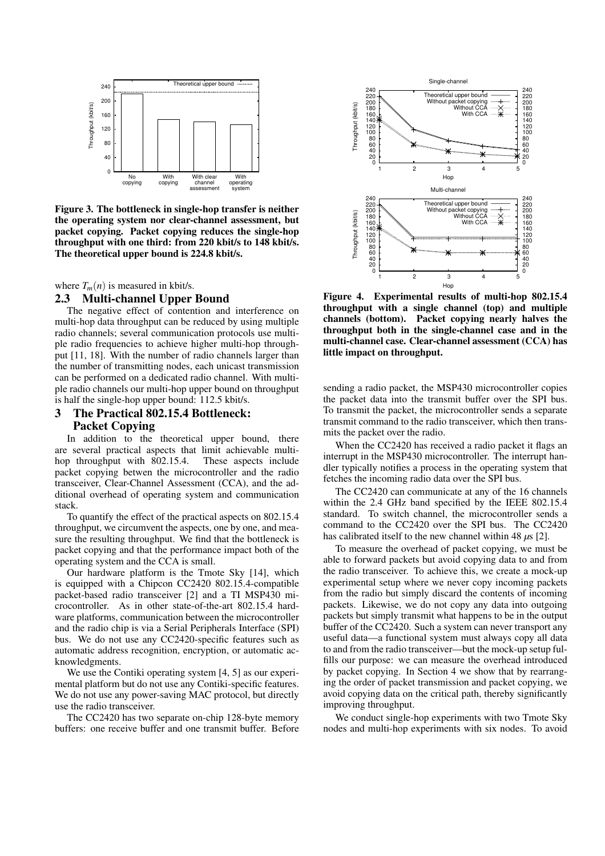

Figure 3. The bottleneck in single-hop transfer is neither the operating system nor clear-channel assessment, but packet copying. Packet copying reduces the single-hop throughput with one third: from 220 kbit/s to 148 kbit/s. The theoretical upper bound is 224.8 kbit/s.

where  $T_m(n)$  is measured in kbit/s. 2.3 Multi-channel Upper Bound

## The negative effect of contention and interference on multi-hop data throughput can be reduced by using multiple radio channels; several communication protocols use multiple radio frequencies to achieve higher multi-hop throughput [11, 18]. With the number of radio channels larger than the number of transmitting nodes, each unicast transmission can be performed on a dedicated radio channel. With multiple radio channels our multi-hop upper bound on throughput is half the single-hop upper bound: 112.5 kbit/s.

# 3 The Practical 802.15.4 Bottleneck: Packet Copying

In addition to the theoretical upper bound, there are several practical aspects that limit achievable multihop throughput with 802.15.4. These aspects include packet copying betwen the microcontroller and the radio transceiver, Clear-Channel Assessment (CCA), and the additional overhead of operating system and communication stack.

To quantify the effect of the practical aspects on 802.15.4 throughput, we circumvent the aspects, one by one, and measure the resulting throughput. We find that the bottleneck is packet copying and that the performance impact both of the operating system and the CCA is small.

Our hardware platform is the Tmote Sky [14], which is equipped with a Chipcon CC2420 802.15.4-compatible packet-based radio transceiver [2] and a TI MSP430 microcontroller. As in other state-of-the-art 802.15.4 hardware platforms, communication between the microcontroller and the radio chip is via a Serial Peripherals Interface (SPI) bus. We do not use any CC2420-specific features such as automatic address recognition, encryption, or automatic acknowledgments.

We use the Contiki operating system [4, 5] as our experimental platform but do not use any Contiki-specific features. We do not use any power-saving MAC protocol, but directly use the radio transceiver.

The CC2420 has two separate on-chip 128-byte memory buffers: one receive buffer and one transmit buffer. Before



Figure 4. Experimental results of multi-hop 802.15.4 throughput with a single channel (top) and multiple channels (bottom). Packet copying nearly halves the throughput both in the single-channel case and in the multi-channel case. Clear-channel assessment (CCA) has little impact on throughput.

sending a radio packet, the MSP430 microcontroller copies the packet data into the transmit buffer over the SPI bus. To transmit the packet, the microcontroller sends a separate transmit command to the radio transceiver, which then transmits the packet over the radio.

When the CC2420 has received a radio packet it flags an interrupt in the MSP430 microcontroller. The interrupt handler typically notifies a process in the operating system that fetches the incoming radio data over the SPI bus.

The CC2420 can communicate at any of the 16 channels within the 2.4 GHz band specified by the IEEE 802.15.4 standard. To switch channel, the microcontroller sends a command to the CC2420 over the SPI bus. The CC2420 has calibrated itself to the new channel within 48 *µ*s [2].

To measure the overhead of packet copying, we must be able to forward packets but avoid copying data to and from the radio transceiver. To achieve this, we create a mock-up experimental setup where we never copy incoming packets from the radio but simply discard the contents of incoming packets. Likewise, we do not copy any data into outgoing packets but simply transmit what happens to be in the output buffer of the CC2420. Such a system can never transport any useful data—a functional system must always copy all data to and from the radio transceiver—but the mock-up setup fulfills our purpose: we can measure the overhead introduced by packet copying. In Section 4 we show that by rearranging the order of packet transmission and packet copying, we avoid copying data on the critical path, thereby significantly improving throughput.

We conduct single-hop experiments with two Tmote Sky nodes and multi-hop experiments with six nodes. To avoid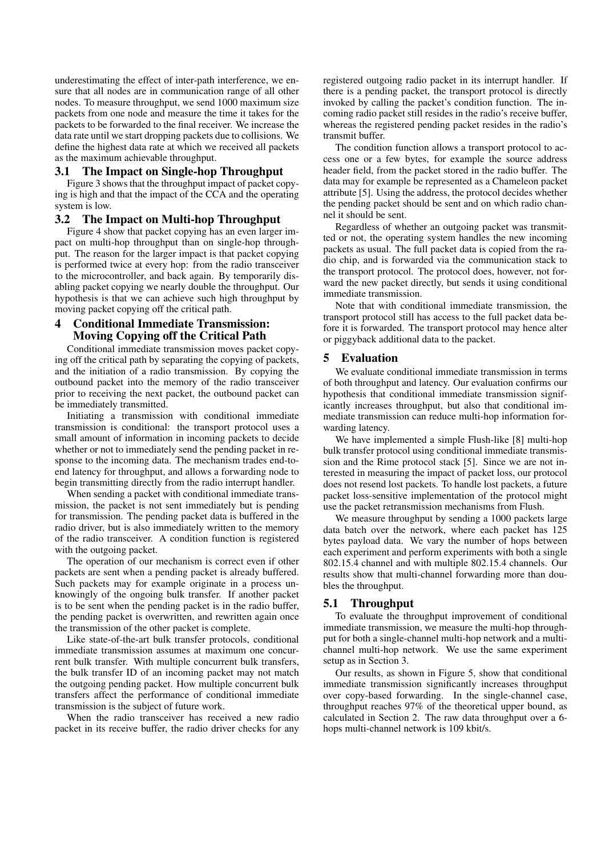underestimating the effect of inter-path interference, we ensure that all nodes are in communication range of all other nodes. To measure throughput, we send 1000 maximum size packets from one node and measure the time it takes for the packets to be forwarded to the final receiver. We increase the data rate until we start dropping packets due to collisions. We define the highest data rate at which we received all packets as the maximum achievable throughput.

## 3.1 The Impact on Single-hop Throughput

Figure 3 shows that the throughput impact of packet copying is high and that the impact of the CCA and the operating system is low.

# 3.2 The Impact on Multi-hop Throughput

Figure 4 show that packet copying has an even larger impact on multi-hop throughput than on single-hop throughput. The reason for the larger impact is that packet copying is performed twice at every hop: from the radio transceiver to the microcontroller, and back again. By temporarily disabling packet copying we nearly double the throughput. Our hypothesis is that we can achieve such high throughput by moving packet copying off the critical path.

# 4 Conditional Immediate Transmission: Moving Copying off the Critical Path

Conditional immediate transmission moves packet copying off the critical path by separating the copying of packets, and the initiation of a radio transmission. By copying the outbound packet into the memory of the radio transceiver prior to receiving the next packet, the outbound packet can be immediately transmitted.

Initiating a transmission with conditional immediate transmission is conditional: the transport protocol uses a small amount of information in incoming packets to decide whether or not to immediately send the pending packet in response to the incoming data. The mechanism trades end-toend latency for throughput, and allows a forwarding node to begin transmitting directly from the radio interrupt handler.

When sending a packet with conditional immediate transmission, the packet is not sent immediately but is pending for transmission. The pending packet data is buffered in the radio driver, but is also immediately written to the memory of the radio transceiver. A condition function is registered with the outgoing packet.

The operation of our mechanism is correct even if other packets are sent when a pending packet is already buffered. Such packets may for example originate in a process unknowingly of the ongoing bulk transfer. If another packet is to be sent when the pending packet is in the radio buffer, the pending packet is overwritten, and rewritten again once the transmission of the other packet is complete.

Like state-of-the-art bulk transfer protocols, conditional immediate transmission assumes at maximum one concurrent bulk transfer. With multiple concurrent bulk transfers, the bulk transfer ID of an incoming packet may not match the outgoing pending packet. How multiple concurrent bulk transfers affect the performance of conditional immediate transmission is the subject of future work.

When the radio transceiver has received a new radio packet in its receive buffer, the radio driver checks for any

registered outgoing radio packet in its interrupt handler. If there is a pending packet, the transport protocol is directly invoked by calling the packet's condition function. The incoming radio packet still resides in the radio's receive buffer, whereas the registered pending packet resides in the radio's transmit buffer.

The condition function allows a transport protocol to access one or a few bytes, for example the source address header field, from the packet stored in the radio buffer. The data may for example be represented as a Chameleon packet attribute [5]. Using the address, the protocol decides whether the pending packet should be sent and on which radio channel it should be sent.

Regardless of whether an outgoing packet was transmitted or not, the operating system handles the new incoming packets as usual. The full packet data is copied from the radio chip, and is forwarded via the communication stack to the transport protocol. The protocol does, however, not forward the new packet directly, but sends it using conditional immediate transmission.

Note that with conditional immediate transmission, the transport protocol still has access to the full packet data before it is forwarded. The transport protocol may hence alter or piggyback additional data to the packet.

# 5 Evaluation

We evaluate conditional immediate transmission in terms of both throughput and latency. Our evaluation confirms our hypothesis that conditional immediate transmission significantly increases throughput, but also that conditional immediate transmission can reduce multi-hop information forwarding latency.

We have implemented a simple Flush-like [8] multi-hop bulk transfer protocol using conditional immediate transmission and the Rime protocol stack [5]. Since we are not interested in measuring the impact of packet loss, our protocol does not resend lost packets. To handle lost packets, a future packet loss-sensitive implementation of the protocol might use the packet retransmission mechanisms from Flush.

We measure throughput by sending a 1000 packets large data batch over the network, where each packet has 125 bytes payload data. We vary the number of hops between each experiment and perform experiments with both a single 802.15.4 channel and with multiple 802.15.4 channels. Our results show that multi-channel forwarding more than doubles the throughput.

## 5.1 Throughput

To evaluate the throughput improvement of conditional immediate transmission, we measure the multi-hop throughput for both a single-channel multi-hop network and a multichannel multi-hop network. We use the same experiment setup as in Section 3.

Our results, as shown in Figure 5, show that conditional immediate transmission significantly increases throughput over copy-based forwarding. In the single-channel case, throughput reaches 97% of the theoretical upper bound, as calculated in Section 2. The raw data throughput over a 6 hops multi-channel network is 109 kbit/s.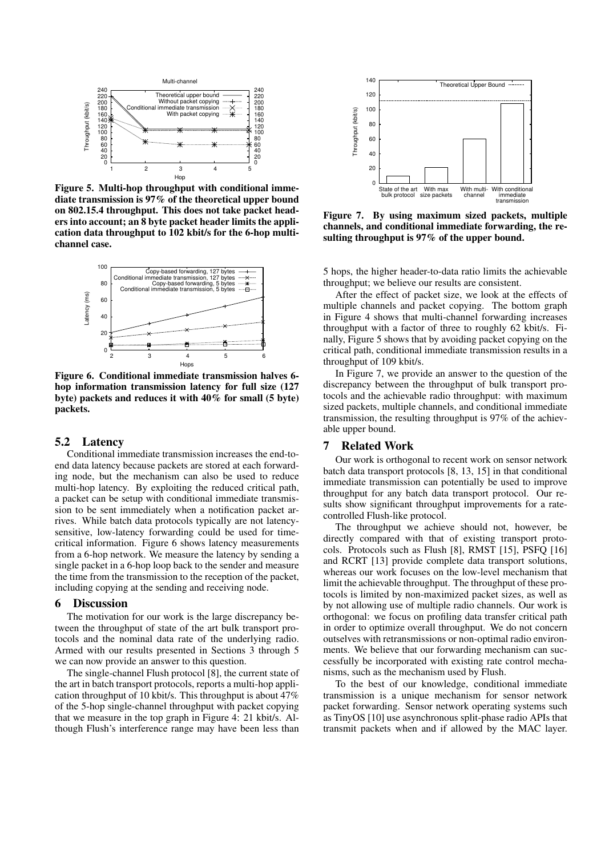

Figure 5. Multi-hop throughput with conditional immediate transmission is 97% of the theoretical upper bound on 802.15.4 throughput. This does not take packet headers into account; an 8 byte packet header limits the application data throughput to 102 kbit/s for the 6-hop multichannel case.



Figure 6. Conditional immediate transmission halves 6 hop information transmission latency for full size (127 byte) packets and reduces it with 40% for small (5 byte) packets.

## 5.2 Latency

Conditional immediate transmission increases the end-toend data latency because packets are stored at each forwarding node, but the mechanism can also be used to reduce multi-hop latency. By exploiting the reduced critical path, a packet can be setup with conditional immediate transmission to be sent immediately when a notification packet arrives. While batch data protocols typically are not latencysensitive, low-latency forwarding could be used for timecritical information. Figure 6 shows latency measurements from a 6-hop network. We measure the latency by sending a single packet in a 6-hop loop back to the sender and measure the time from the transmission to the reception of the packet, including copying at the sending and receiving node.

#### 6 Discussion

The motivation for our work is the large discrepancy between the throughput of state of the art bulk transport protocols and the nominal data rate of the underlying radio. Armed with our results presented in Sections 3 through 5 we can now provide an answer to this question.

The single-channel Flush protocol [8], the current state of the art in batch transport protocols, reports a multi-hop application throughput of 10 kbit/s. This throughput is about 47% of the 5-hop single-channel throughput with packet copying that we measure in the top graph in Figure 4: 21 kbit/s. Although Flush's interference range may have been less than



Figure 7. By using maximum sized packets, multiple channels, and conditional immediate forwarding, the resulting throughput is 97% of the upper bound.

5 hops, the higher header-to-data ratio limits the achievable throughput; we believe our results are consistent.

After the effect of packet size, we look at the effects of multiple channels and packet copying. The bottom graph in Figure 4 shows that multi-channel forwarding increases throughput with a factor of three to roughly 62 kbit/s. Finally, Figure 5 shows that by avoiding packet copying on the critical path, conditional immediate transmission results in a throughput of 109 kbit/s.

In Figure 7, we provide an answer to the question of the discrepancy between the throughput of bulk transport protocols and the achievable radio throughput: with maximum sized packets, multiple channels, and conditional immediate transmission, the resulting throughput is 97% of the achievable upper bound.

#### 7 Related Work

Our work is orthogonal to recent work on sensor network batch data transport protocols [8, 13, 15] in that conditional immediate transmission can potentially be used to improve throughput for any batch data transport protocol. Our results show significant throughput improvements for a ratecontrolled Flush-like protocol.

The throughput we achieve should not, however, be directly compared with that of existing transport protocols. Protocols such as Flush [8], RMST [15], PSFQ [16] and RCRT [13] provide complete data transport solutions, whereas our work focuses on the low-level mechanism that limit the achievable throughput. The throughput of these protocols is limited by non-maximized packet sizes, as well as by not allowing use of multiple radio channels. Our work is orthogonal: we focus on profiling data transfer critical path in order to optimize overall throughput. We do not concern outselves with retransmissions or non-optimal radio environments. We believe that our forwarding mechanism can successfully be incorporated with existing rate control mechanisms, such as the mechanism used by Flush.

To the best of our knowledge, conditional immediate transmission is a unique mechanism for sensor network packet forwarding. Sensor network operating systems such as TinyOS [10] use asynchronous split-phase radio APIs that transmit packets when and if allowed by the MAC layer.